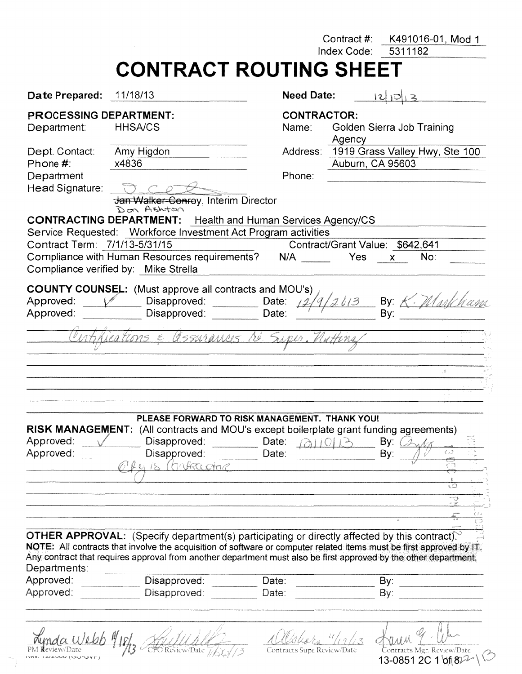|                                                    | Contract #:                                                                                                                                                                                     | K491016-01, Mod 1<br>5311182                                                                                                                                                                                                                                                                                                                                                                                                                                                                                                                                        |
|----------------------------------------------------|-------------------------------------------------------------------------------------------------------------------------------------------------------------------------------------------------|---------------------------------------------------------------------------------------------------------------------------------------------------------------------------------------------------------------------------------------------------------------------------------------------------------------------------------------------------------------------------------------------------------------------------------------------------------------------------------------------------------------------------------------------------------------------|
|                                                    |                                                                                                                                                                                                 |                                                                                                                                                                                                                                                                                                                                                                                                                                                                                                                                                                     |
|                                                    | <b>Need Date:</b>                                                                                                                                                                               | 2 0 3                                                                                                                                                                                                                                                                                                                                                                                                                                                                                                                                                               |
| <b>HHSA/CS</b>                                     | <b>CONTRACTOR:</b><br>Name:                                                                                                                                                                     | Golden Sierra Job Training                                                                                                                                                                                                                                                                                                                                                                                                                                                                                                                                          |
| Amy Higdon<br>x4836                                | Phone:                                                                                                                                                                                          | Address: 1919 Grass Valley Hwy, Ste 100                                                                                                                                                                                                                                                                                                                                                                                                                                                                                                                             |
|                                                    | Yes                                                                                                                                                                                             | No:<br>$\mathsf{x}$                                                                                                                                                                                                                                                                                                                                                                                                                                                                                                                                                 |
| Disapproved:<br>Disapproved:                       | Date:<br>Date:<br>Nottina                                                                                                                                                                       | By: $\angle$<br>Bv:                                                                                                                                                                                                                                                                                                                                                                                                                                                                                                                                                 |
|                                                    |                                                                                                                                                                                                 |                                                                                                                                                                                                                                                                                                                                                                                                                                                                                                                                                                     |
| Disapproved:<br>Disapproved:<br>(hakka <i>atar</i> | Date: $(2)1013$<br>Date:                                                                                                                                                                        | By:<br>ು<br>By:                                                                                                                                                                                                                                                                                                                                                                                                                                                                                                                                                     |
|                                                    |                                                                                                                                                                                                 | ಾ<br>ma.                                                                                                                                                                                                                                                                                                                                                                                                                                                                                                                                                            |
|                                                    | <b>Date Prepared: 11/18/13</b><br><b>PROCESSING DEPARTMENT:</b><br>Don Ashton<br>Contract Term: 7/1/13-5/31/15<br>Compliance verified by: Mike Strella<br>iegitoms e<br><b>RISK MANAGEMENT:</b> | Index Code:<br><b>CONTRACT ROUTING SHEET</b><br>Agency<br>Auburn, CA 95603<br>Jan Walker-Conroy, Interim Director<br><b>CONTRACTING DEPARTMENT:</b> Health and Human Services Agency/CS<br>Service Requested: Workforce Investment Act Program activities<br>Contract/Grant Value: \$642,641<br>Compliance with Human Resources requirements? N/A<br><b>COUNTY COUNSEL:</b> (Must approve all contracts and MOU's)<br>Gegarances re Super<br>PLEASE FORWARD TO RISK MANAGEMENT. THANK YOU!<br>(All contracts and MOU's except boilerplate grant funding agreements) |

Aynda Webb 1/18/3 Adillald 15 Contracts Supe Review/Date

13-0851 2C 1 01 822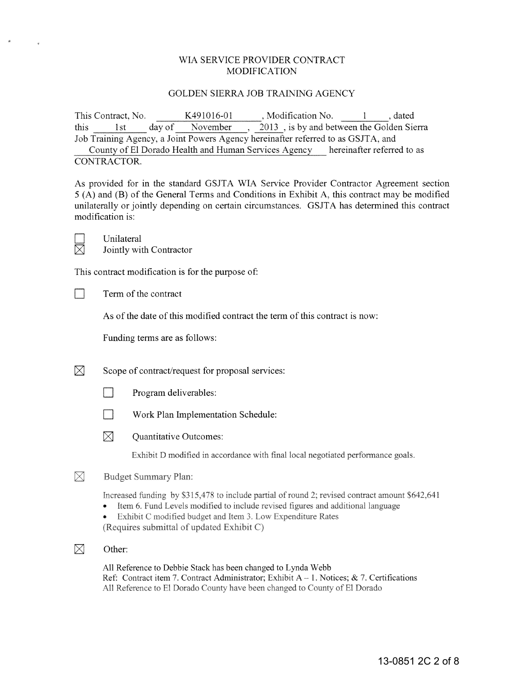### \VIA SERVICE PROVIDER CONTRACT MODIFICATION

#### GOLDEN SIERRA JOB TRAINING AGENCY

This Contract, No.  $K491016-01$ , Modification No. 1, dated this 1st day of November , 2013 , is by and between the Golden Sierra Job Training Agency, a Joint Powers Agency hereinafter referred to as GSJTA, and County of El Dorado Health and Human Services Agency hereinafter referred to as CONTRACTOR.

As provided for in the standard GSJTA WIA Service Provider Contractor Agreement section 5 (A) and (B) of the General Terms and Conditions in Exhibit A, this contract may be modified unilaterally or jointly depending on certain circumstances. GSJT A has determined this contract modification is:

 $\Box$  Unilateral<br>  $\boxtimes$  Jointly with Jointly with Contractor

This contract modification is for the purpose of:

 $\Box$  Term of the contract

As of the date of this modified contract the term of this contract is now:

Funding terms are as follows:

 $[\times]$  Scope of contract/request for proposal services:

- $\n$  Program deliverables:
- **De Work Plan Implementation Schedule:**
- $\boxtimes$  Ouantitative Outcomes:

Exhibit D modified in accordance with final local negotiated performance goals.

#### $\boxtimes$ Budget Summary Plan:

Increased funding by \$315,478 to include partial of round 2; revised contract amount \$642,641

- Item 6. Fund Levels modified to include revised figures and additional language
- Exhibit C modified budget and Item 3. Low Expenditure Rates  $\bullet$ (Requires submittal of updated Exhibit C)
- $\boxtimes$  Other:

All Reference to Debbie Stack has been changed to Lynda Webb Ref: Contract item 7. Contract Administrator; Exhibit  $A - 1$ . Notices; & 7. Certifications All Reference to El Dorado County have been changed to County of El Dorado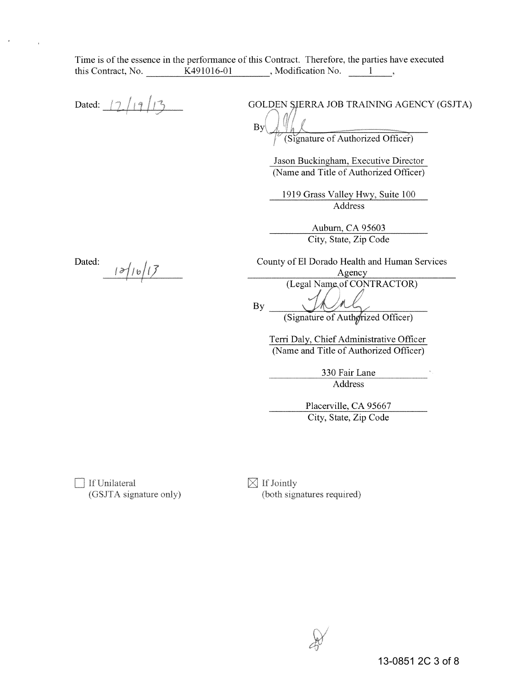Time is of the essence in the performance of this Contract. Therefore, the parties have executed this Contract, No.  $K491016-01$ , Modification No. 1

Dated:  $\frac{1}{2}$  | 9 GOLDEN SIERRA JOB TRAINING AGENCY (GSJTA) By (Signature of Authorized Officer) Jason Buckingham, Executive Director (Name and Title of Authorized Officer) 1919 Grass Valley Hwy, Suite 100 Address Auburn, CA 95603 City, State, Zip Code Dated: County of El Dorado Health and Human Services  $|3/16/17|$ Agency (Legal Name of CONTRACTOR) By (Signature of Authorized Officer) Terri Daly, Chief Administrative Officer (Name and Title of Authorized Officer)

> 330 Fair Lane Address

Placerville, CA 95667 City, State, Zip Code

T If Unilateral (GSJTA signature only)  $\boxtimes$  If Jointly (both signatures required)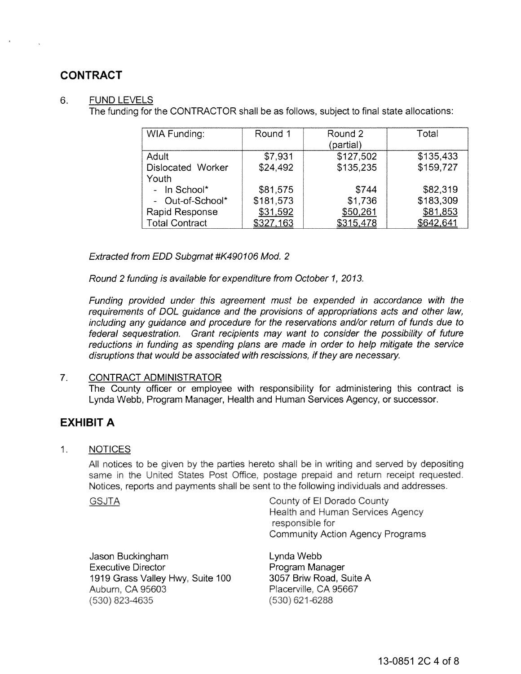# **CONTRACT**

### 6. FUND LEVELS

The funding for the CONTRACTOR shall be as follows, subject to final state allocations:

| <b>WIA Funding:</b>   | Round 1   | Round 2<br>(partial) | Total     |
|-----------------------|-----------|----------------------|-----------|
| Adult                 | \$7,931   | \$127,502            | \$135,433 |
| Dislocated Worker     | \$24.492  | \$135,235            | \$159,727 |
| Youth                 |           |                      |           |
| - In School*          | \$81,575  | \$744                | \$82,319  |
| - Out-of-School*      | \$181,573 | \$1,736              | \$183,309 |
| Rapid Response        | \$31,592  | \$50,261             | \$81,853  |
| <b>Total Contract</b> | \$327,163 | \$315,478            | \$642,641 |

Extracted from EDD Subgrnat #K490106 Mod. 2

Round 2 funding is available for expenditure from October 1, 2013.

Funding provided under this agreement must be expended in accordance with the requirements of DOL guidance and the provisions of appropriations acts and other law, including any guidance and procedure for the reservations and/or return of funds due to federal sequestration. Grant recipients may want to consider the possibility of future reductions in funding as spending plans are made in order to help mitigate the service disruptions that would be associated with rescissions, if they are necessary.

### 7. CONTRACT ADMINISTRATOR

The County officer or employee with responsibility for administering this contract is Lynda Webb, Program Manager, Health and Human Services Agency, or successor.

# **EXHIBIT A**

 $1.$ **NOTICES** 

> All notices to be given by the parties hereto shall be in writing and served by depositing same in the United States Post Office, postage prepaid and return receipt requested. Notices, reports and payments shall be sent to the following individuals and addresses.

**GSJTA** 

County of El Dorado County **Health and Human Services Agency** responsible for Community Action Agency Programs

Jason Buckingham Executive Director 1919 Grass Valley Hwy, Suite 100 Auburn, CA 95603 (530) 823-4635

Lynda Webb Program Manager 3057 Briw Road, Suite A Placerville, CA 95667  $(530)$  621-6288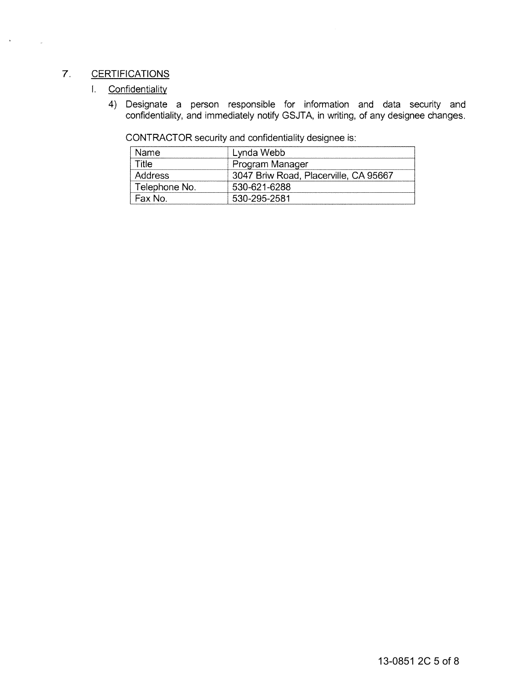## 7. CERTIFICATIONS

### I. Confidentiality

4) Designate a person responsible for information and data security and confidentiality, and immediately notify GSJT A, in writing, of any designee changes.

CONTRACTOR security and confidentiality designee is:

| Name          | Lynda Webb                            |
|---------------|---------------------------------------|
| Title         | Program Manager                       |
| Address       | 3047 Briw Road, Placerville, CA 95667 |
| Telephone No. | 530-621-6288                          |
| Fax No.       | 530-295-2581                          |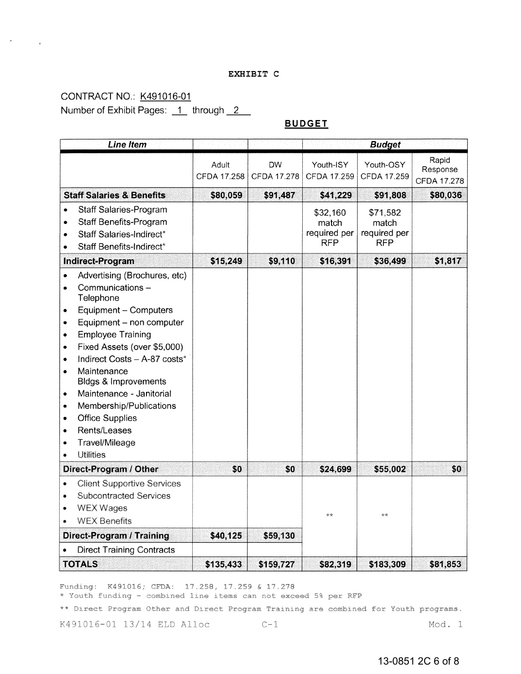#### EXHIBIT C

# CONTRACT NO.: K491016-01 Number of Exhibit Pages: 1 through 2

### **BUDGET**

| <b>Line Item</b>                                                                                                                                                                                                                                                                                                                                                                                                                                                                                                                       |                             |                          |                                                 | <b>Budget</b>                                   |                                  |
|----------------------------------------------------------------------------------------------------------------------------------------------------------------------------------------------------------------------------------------------------------------------------------------------------------------------------------------------------------------------------------------------------------------------------------------------------------------------------------------------------------------------------------------|-----------------------------|--------------------------|-------------------------------------------------|-------------------------------------------------|----------------------------------|
|                                                                                                                                                                                                                                                                                                                                                                                                                                                                                                                                        | Adult<br><b>CFDA 17.258</b> | <b>DW</b><br>CFDA 17.278 | Youth-ISY<br>CFDA 17.259                        | Youth-OSY<br>CFDA 17.259                        | Rapid<br>Response<br>CFDA 17.278 |
| <b>Staff Salaries &amp; Benefits</b>                                                                                                                                                                                                                                                                                                                                                                                                                                                                                                   | \$80,059                    | \$91,487                 | \$41,229                                        | \$91,808                                        | \$80,036                         |
| Staff Salaries-Program<br>$\bullet$<br><b>Staff Benefits-Program</b><br>٠<br>Staff Salaries-Indirect*<br>$\bullet$<br>Staff Benefits-Indirect*                                                                                                                                                                                                                                                                                                                                                                                         |                             |                          | \$32,160<br>match<br>required per<br><b>RFP</b> | \$71,582<br>match<br>required per<br><b>RFP</b> |                                  |
| Indirect-Program                                                                                                                                                                                                                                                                                                                                                                                                                                                                                                                       | \$15,249                    | \$9,110                  | \$16,391                                        | \$36,499                                        | \$1,817                          |
| Advertising (Brochures, etc)<br>$\bullet$<br>Communications-<br>$\bullet$<br>Telephone<br>Equipment - Computers<br>۰<br>Equipment - non computer<br>$\bullet$<br><b>Employee Training</b><br>$\bullet$<br>Fixed Assets (over \$5,000)<br>٠<br>Indirect Costs - A-87 costs*<br>٠<br>Maintenance<br>$\bullet$<br><b>Bldgs &amp; Improvements</b><br>Maintenance - Janitorial<br>$\bullet$<br>Membership/Publications<br>$\bullet$<br><b>Office Supplies</b><br>$\bullet$<br>Rents/Leases<br>۰<br>Travel/Mileage<br>۰<br><b>Utilities</b> |                             |                          |                                                 |                                                 |                                  |
| Direct-Program / Other                                                                                                                                                                                                                                                                                                                                                                                                                                                                                                                 | \$0                         | \$0                      | \$24,699                                        | \$55,002                                        | \$0                              |
| <b>Client Supportive Services</b><br>۰<br><b>Subcontracted Services</b><br>۰<br><b>WEX Wages</b><br>۰<br><b>WEX Benefits</b>                                                                                                                                                                                                                                                                                                                                                                                                           |                             |                          | 安安                                              | 安安                                              |                                  |
| Direct-Program / Training                                                                                                                                                                                                                                                                                                                                                                                                                                                                                                              | \$40,125                    | \$59,130                 |                                                 |                                                 |                                  |
| <b>Direct Training Contracts</b>                                                                                                                                                                                                                                                                                                                                                                                                                                                                                                       |                             |                          |                                                 |                                                 |                                  |
| <b>TOTALS</b>                                                                                                                                                                                                                                                                                                                                                                                                                                                                                                                          | \$135,433                   | \$159,727                | \$82,319                                        | \$183,309                                       | \$81,853                         |

Funding: K491016; CFDA: 17.258, 17.259 & 17.278

\* Youth funding - combined line items can not exceed 5% per RFP

\*\* Direct Program Other and Direct Program Training are combined for Youth programs.

K491016-01 13/14 ELD Alloc

Mod. 1

13-0851 2C 6 of 8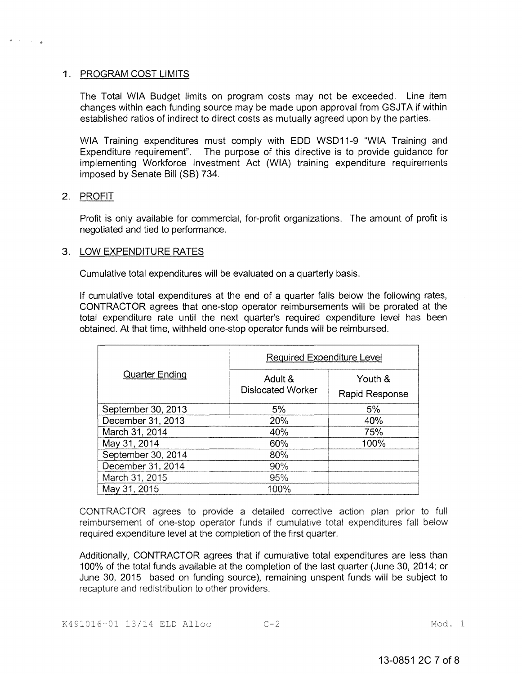### 1. PROGRAM COST LIMITS

The Total WIA Budget limits on program costs may not be exceeded. Line item changes within each funding source may be made upon approval from GSJTA if within established ratios of indirect to direct costs as mutually agreed upon by the parties.

WIA Training expenditures must comply with EDD WSD11-9 "WIA Training and Expenditure requirement". The purpose of this directive is to provide guidance for implementing Workforce Investment Act (WIA) training expenditure requirements imposed by Senate Bill (SB) 734.

#### 2. PROFIT

Profit is only available for commercial, for-profit organizations. The amount of profit is negotiated and tied to performance.

#### 3. LOW EXPENDITURE RATES

Cumulative total expenditures will be evaluated on a quarterly basis.

If cumulative total expenditures at the end of a quarter falls below the following rates, CONTRACTOR agrees that one-stop operator reimbursements will be prorated at the total expenditure rate until the next quarter's required expenditure level has been obtained. At that time, withheld one-stop operator funds will be reimbursed.

| <b>Quarter Ending</b> | <b>Required Expenditure Level</b>   |                           |  |
|-----------------------|-------------------------------------|---------------------------|--|
|                       | Adult &<br><b>Dislocated Worker</b> | Youth &<br>Rapid Response |  |
| September 30, 2013    | 5%                                  | 5%                        |  |
| December 31, 2013     | 20%                                 | 40%                       |  |
| March 31, 2014        | 40%                                 | 75%                       |  |
| May 31, 2014          | 60%                                 | 100%                      |  |
| September 30, 2014    | 80%                                 |                           |  |
| December 31, 2014     | 90%                                 |                           |  |
| March 31, 2015        | 95%                                 |                           |  |
| May 31, 2015          | 100%                                |                           |  |

CONTRACTOR agrees to provide a detailed corrective action plan prior to full reimbursement of one-stop operator funds if cumulative total expenditures fall below required expenditure level at the completion of the first quarter.

Additionally, CONTRACTOR agrees that if cumulative total expenditures are less than 100% of the total funds available at the completion of the last quarter (June 30, 2014; or June 30, 2015 based on funding source), remaining unspent funds will be subject to recapture and redistribution to other providers.